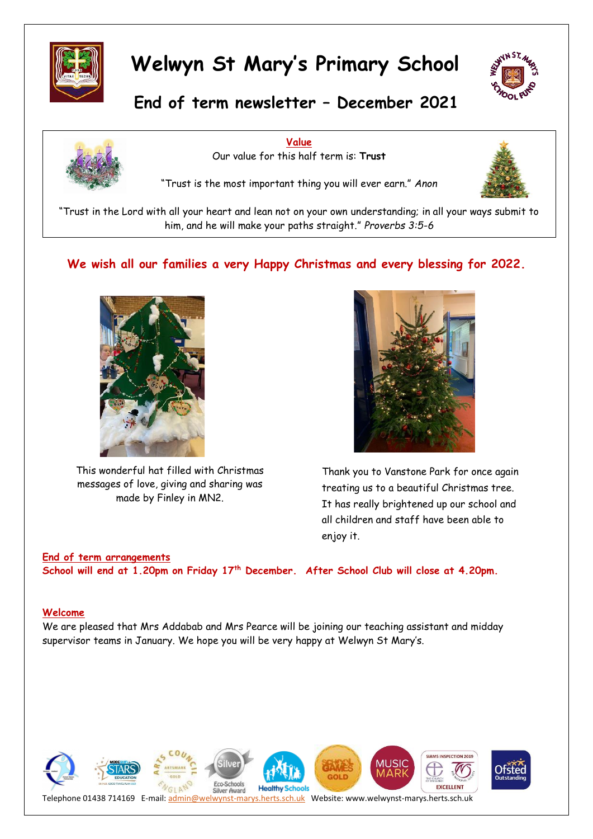



## **End of term newsletter – December 2021**



**Value** Our value for this half term is: **Trust**

"Trust is the most important thing you will ever earn." *Anon*



"Trust in the Lord with all your heart and lean not on your own understanding; in all your ways submit to him, and he will make your paths straight." *Proverbs 3:5-6*

### **We wish all our families a very Happy Christmas and every blessing for 2022.**



This wonderful hat filled with Christmas messages of love, giving and sharing was made by Finley in MN2.



Thank you to Vanstone Park for once again treating us to a beautiful Christmas tree. It has really brightened up our school and all children and staff have been able to enjoy it.

### **End of term arrangements School will end at 1.20pm on Friday 17th December. After School Club will close at 4.20pm.**

#### **Welcome**

We are pleased that Mrs Addabab and Mrs Pearce will be joining our teaching assistant and midday supervisor teams in January. We hope you will be very happy at Welwyn St Mary's.

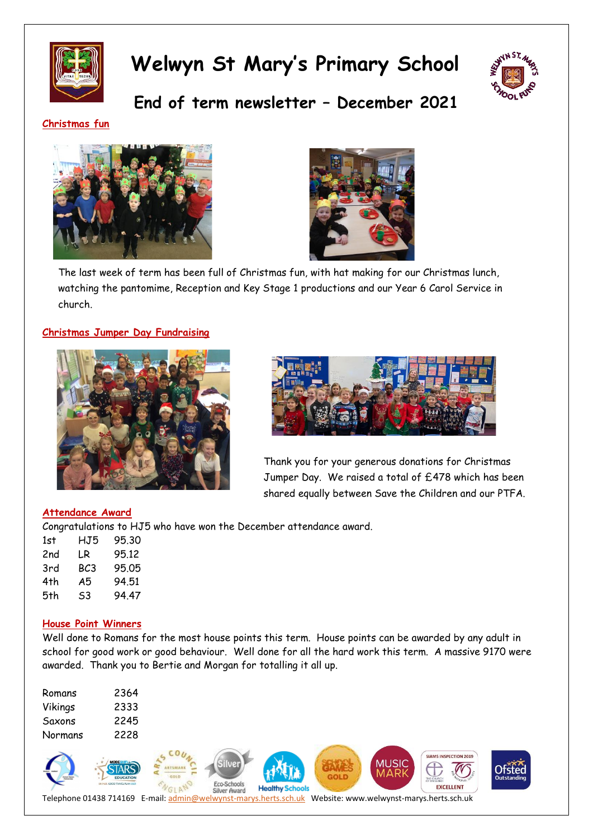



**End of term newsletter – December 2021**

### **Christmas fun**





The last week of term has been full of Christmas fun, with hat making for our Christmas lunch, watching the pantomime, Reception and Key Stage 1 productions and our Year 6 Carol Service in church.

### **Christmas Jumper Day Fundraising**





Thank you for your generous donations for Christmas Jumper Day. We raised a total of £478 which has been shared equally between Save the Children and our PTFA.

#### **Attendance Award**

Congratulations to HJ5 who have won the December attendance award.

| 1st | HJ5 | 9530  |
|-----|-----|-------|
| 2nd | LR  | 95.12 |
| 3rd | BC3 | 95.05 |
| 4th | A5  | 94.51 |
| 5th | S3  | 94 47 |

#### **House Point Winners**

Well done to Romans for the most house points this term. House points can be awarded by any adult in school for good work or good behaviour. Well done for all the hard work this term. A massive 9170 were awarded. Thank you to Bertie and Morgan for totalling it all up.

| Romans  | 2364 |
|---------|------|
| Vikings | 2333 |
| Saxons  | 2245 |
| Normans | 2228 |

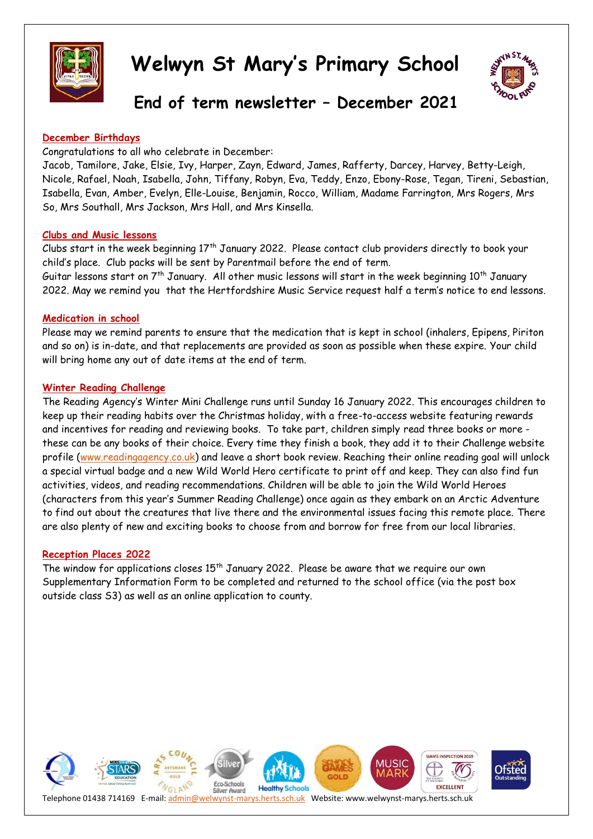



### **End of term newsletter – December 2021**

### **December Birthdays**

Congratulations to all who celebrate in December:

Jacob, Tamilore, Jake, Elsie, Ivy, Harper, Zayn, Edward, James, Rafferty, Darcey, Harvey, Betty-Leigh, Nicole, Rafael, Noah, Isabella, John, Tiffany, Robyn, Eva, Teddy, Enzo, Ebony-Rose, Tegan, Tireni, Sebastian, Isabella, Evan, Amber, Evelyn, Elle-Louise, Benjamin, Rocco, William, Madame Farrington, Mrs Rogers, Mrs So, Mrs Southall, Mrs Jackson, Mrs Hall, and Mrs Kinsella.

#### **Clubs and Music lessons**

Clubs start in the week beginning 17<sup>th</sup> January 2022. Please contact club providers directly to book your child's place. Club packs will be sent by Parentmail before the end of term. Guitar lessons start on  $7<sup>th</sup>$  January. All other music lessons will start in the week beginning  $10<sup>th</sup>$  January 2022. May we remind you that the Hertfordshire Music Service request half a term's notice to end lessons.

### **Medication in school**

Please may we remind parents to ensure that the medication that is kept in school (inhalers, Epipens, Piriton and so on) is in-date, and that replacements are provided as soon as possible when these expire. Your child will bring home any out of date items at the end of term.

### **Winter Reading Challenge**

The Reading Agency's Winter Mini Challenge runs until Sunday 16 January 2022. This encourages children to keep up their reading habits over the Christmas holiday, with a free-to-access website featuring rewards and incentives for reading and reviewing books. To take part, children simply read three books or more these can be any books of their choice. Every time they finish a book, they add it to their Challenge website profile [\(www.readingagency.co.uk\)](http://www.readingagency.co.uk/) and leave a short book review. Reaching their online reading goal will unlock a special virtual badge and a new Wild World Hero certificate to print off and keep. They can also find fun activities, videos, and reading recommendations. Children will be able to join the Wild World Heroes (characters from this year's Summer Reading Challenge) once again as they embark on an Arctic Adventure to find out about the creatures that live there and the environmental issues facing this remote place. There are also plenty of new and exciting books to choose from and borrow for free from our local libraries.

#### **Reception Places 2022**

The window for applications closes  $15<sup>th</sup>$  January 2022. Please be aware that we require our own Supplementary Information Form to be completed and returned to the school office (via the post box outside class S3) as well as an online application to county.

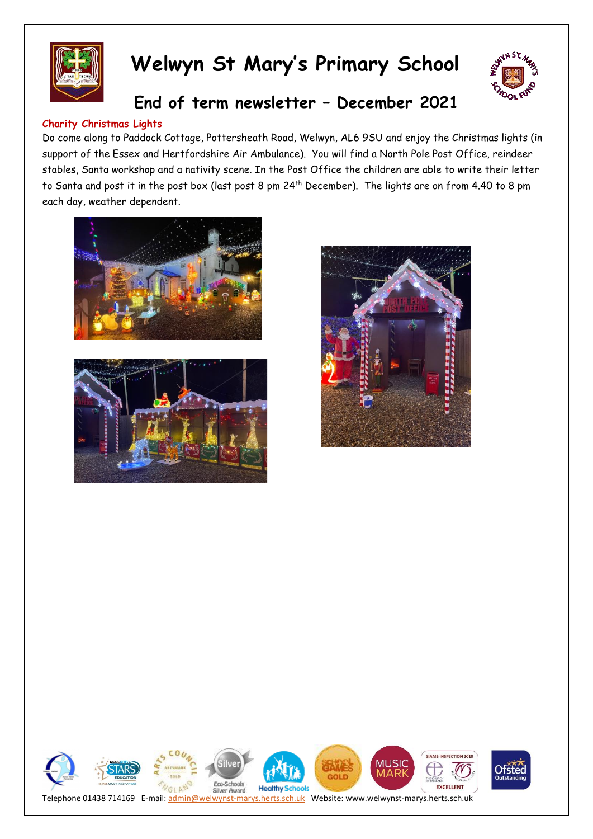



### **End of term newsletter – December 2021**

### **Charity Christmas Lights**

Do come along to Paddock Cottage, Pottersheath Road, Welwyn, AL6 9SU and enjoy the Christmas lights (in support of the Essex and Hertfordshire Air Ambulance). You will find a North Pole Post Office, reindeer stables, Santa workshop and a nativity scene. In the Post Office the children are able to write their letter to Santa and post it in the post box (last post 8 pm 24th December). The lights are on from 4.40 to 8 pm each day, weather dependent.







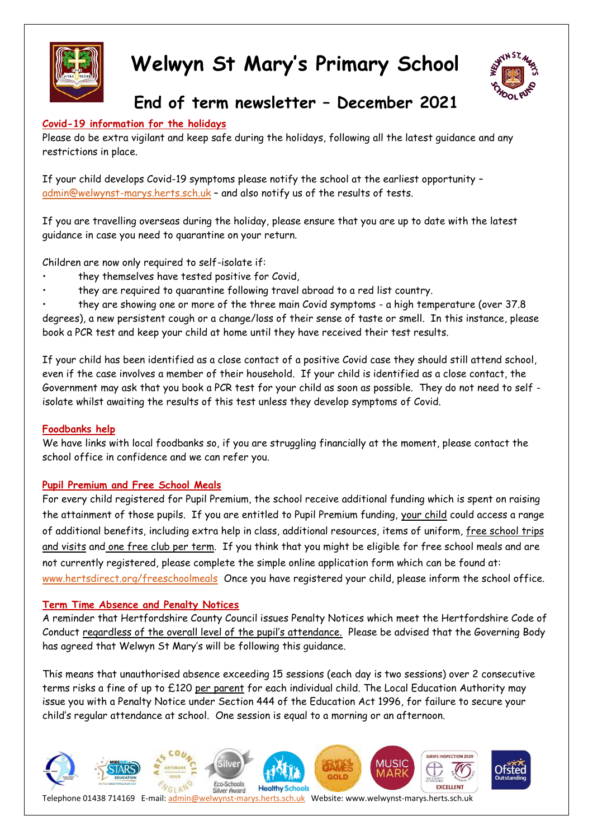



### **End of term newsletter – December 2021**

### **Covid-19 information for the holidays**

Please do be extra vigilant and keep safe during the holidays, following all the latest guidance and any restrictions in place.

If your child develops Covid-19 symptoms please notify the school at the earliest opportunity – [admin@welwynst-marys.herts.sch.uk](mailto:admin@welwynst-marys.herts.sch.uk) – and also notify us of the results of tests.

If you are travelling overseas during the holiday, please ensure that you are up to date with the latest guidance in case you need to quarantine on your return.

Children are now only required to self-isolate if:

- they themselves have tested positive for Covid,
- they are required to quarantine following travel abroad to a red list country.

• they are showing one or more of the three main Covid symptoms - a high temperature (over 37.8 degrees), a new persistent cough or a change/loss of their sense of taste or smell. In this instance, please book a PCR test and keep your child at home until they have received their test results.

If your child has been identified as a close contact of a positive Covid case they should still attend school, even if the case involves a member of their household. If your child is identified as a close contact, the Government may ask that you book a PCR test for your child as soon as possible. They do not need to self isolate whilst awaiting the results of this test unless they develop symptoms of Covid.

### **Foodbanks help**

We have links with local foodbanks so, if you are struggling financially at the moment, please contact the school office in confidence and we can refer you.

### **Pupil Premium and Free School Meals**

For every child registered for Pupil Premium, the school receive additional funding which is spent on raising the attainment of those pupils. If you are entitled to Pupil Premium funding, your child could access a range of additional benefits, including extra help in class, additional resources, items of uniform, free school trips and visits and one free club per term. If you think that you might be eligible for free school meals and are not currently registered, please complete the simple online application form which can be found at: [www.hertsdirect.org/freeschoolmeals](http://www.hertsdirect.org/freeschoolmeals) Once you have registered your child, please inform the school office.

### **Term Time Absence and Penalty Notices**

A reminder that Hertfordshire County Council issues Penalty Notices which meet the Hertfordshire Code of Conduct regardless of the overall level of the pupil's attendance. Please be advised that the Governing Body has agreed that Welwyn St Mary's will be following this guidance.

This means that unauthorised absence exceeding 15 sessions (each day is two sessions) over 2 consecutive terms risks a fine of up to £120 per parent for each individual child. The Local Education Authority may issue you with a Penalty Notice under Section 444 of the Education Act 1996, for failure to secure your child's regular attendance at school. One session is equal to a morning or an afternoon.

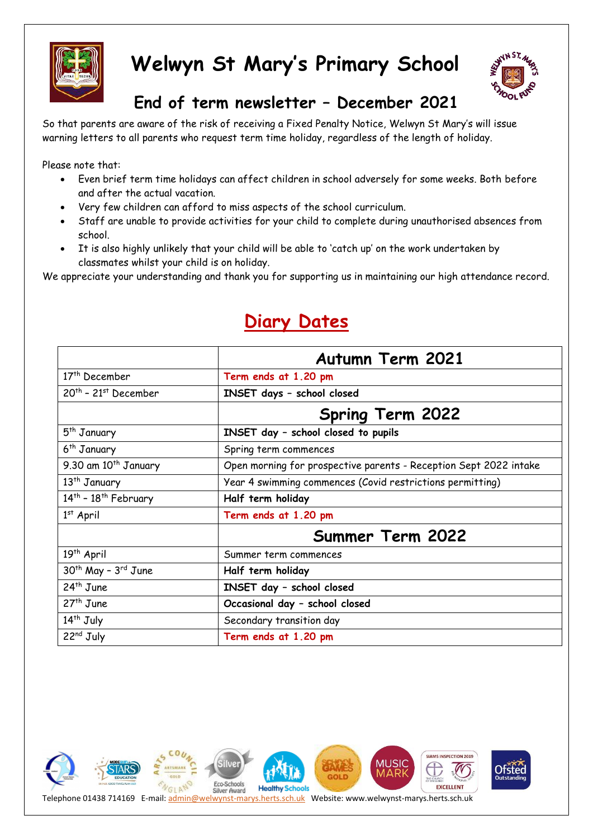



## **End of term newsletter – December 2021**

So that parents are aware of the risk of receiving a Fixed Penalty Notice, Welwyn St Mary's will issue warning letters to all parents who request term time holiday, regardless of the length of holiday.

Please note that:

- Even brief term time holidays can affect children in school adversely for some weeks. Both before and after the actual vacation.
- Very few children can afford to miss aspects of the school curriculum.
- Staff are unable to provide activities for your child to complete during unauthorised absences from school.
- It is also highly unlikely that your child will be able to 'catch up' on the work undertaken by classmates whilst your child is on holiday.

We appreciate your understanding and thank you for supporting us in maintaining our high attendance record.

|                           | <b>Autumn Term 2021</b>                                           |  |
|---------------------------|-------------------------------------------------------------------|--|
| 17 <sup>th</sup> December | Term ends at 1.20 pm                                              |  |
| $20th$ - 21st December    | INSET days - school closed                                        |  |
|                           | <b>Spring Term 2022</b>                                           |  |
| 5 <sup>th</sup> January   | INSET day - school closed to pupils                               |  |
| 6 <sup>th</sup> January   | Spring term commences                                             |  |
| 9.30 am $10^{th}$ January | Open morning for prospective parents - Reception Sept 2022 intake |  |
| 13 <sup>th</sup> January  | Year 4 swimming commences (Covid restrictions permitting)         |  |
| $14th$ - $18th$ February  | Half term holiday                                                 |  |
| $1st$ April               | Term ends at 1.20 pm                                              |  |
|                           | <b>Summer Term 2022</b>                                           |  |
| 19 <sup>th</sup> April    | Summer term commences                                             |  |
| $30th$ May - $3rd$ June   | Half term holiday                                                 |  |
| 24 <sup>th</sup> June     | INSET day - school closed                                         |  |
| $27th$ June               | Occasional day - school closed                                    |  |
| $14th$ July               | Secondary transition day                                          |  |
| 22nd July                 | Term ends at 1.20 pm                                              |  |

# **Diary Dates**